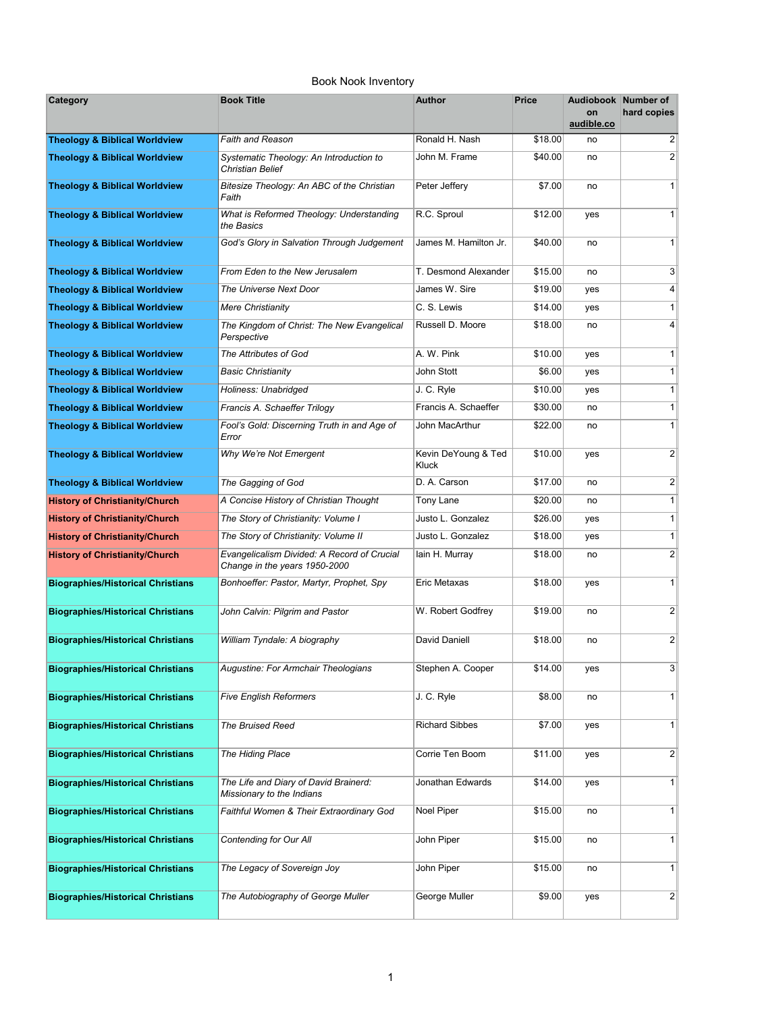| Category                                 | <b>Book Title</b>                                                            | <b>Author</b>                | <b>Price</b> | Audiobook Number of<br>on<br>audible.co | hard copies             |
|------------------------------------------|------------------------------------------------------------------------------|------------------------------|--------------|-----------------------------------------|-------------------------|
| <b>Theology &amp; Biblical Worldview</b> | Faith and Reason                                                             | Ronald H. Nash               | \$18.00      | no                                      | $\overline{2}$          |
| <b>Theology &amp; Biblical Worldview</b> | Systematic Theology: An Introduction to<br><b>Christian Belief</b>           | John M. Frame                | \$40.00      | no                                      | $\overline{2}$          |
| <b>Theology &amp; Biblical Worldview</b> | Bitesize Theology: An ABC of the Christian<br>Faith                          | Peter Jeffery                | \$7.00       | no                                      | 1                       |
| <b>Theology &amp; Biblical Worldview</b> | What is Reformed Theology: Understanding<br>the Basics                       | R.C. Sproul                  | \$12.00      | yes                                     | 1                       |
| <b>Theology &amp; Biblical Worldview</b> | God's Glory in Salvation Through Judgement                                   | James M. Hamilton Jr.        | \$40.00      | no                                      | 1 <sup>1</sup>          |
| <b>Theology &amp; Biblical Worldview</b> | From Eden to the New Jerusalem                                               | T. Desmond Alexander         | \$15.00      | no                                      | 3                       |
| <b>Theology &amp; Biblical Worldview</b> | The Universe Next Door                                                       | James W. Sire                | \$19.00      | yes                                     | $\vert 4 \vert$         |
| <b>Theology &amp; Biblical Worldview</b> | Mere Christianity                                                            | C. S. Lewis                  | \$14.00      | yes                                     | 1                       |
| <b>Theology &amp; Biblical Worldview</b> | The Kingdom of Christ: The New Evangelical<br>Perspective                    | Russell D. Moore             | \$18.00      | no                                      | 4                       |
| <b>Theology &amp; Biblical Worldview</b> | The Attributes of God                                                        | A. W. Pink                   | \$10.00      | yes                                     | 1                       |
| <b>Theology &amp; Biblical Worldview</b> | <b>Basic Christianity</b>                                                    | John Stott                   | \$6.00       | yes                                     | 1                       |
| <b>Theology &amp; Biblical Worldview</b> | Holiness: Unabridged                                                         | J. C. Ryle                   | \$10.00      | yes                                     | 1                       |
| <b>Theology &amp; Biblical Worldview</b> | Francis A. Schaeffer Trilogy                                                 | Francis A. Schaeffer         | \$30.00      | no                                      | 1 <sup>1</sup>          |
| <b>Theology &amp; Biblical Worldview</b> | Fool's Gold: Discerning Truth in and Age of<br>Error                         | John MacArthur               | \$22.00      | no                                      | 1                       |
| <b>Theology &amp; Biblical Worldview</b> | Why We're Not Emergent                                                       | Kevin DeYoung & Ted<br>Kluck | \$10.00      | yes                                     | 2                       |
| <b>Theology &amp; Biblical Worldview</b> | The Gagging of God                                                           | D. A. Carson                 | \$17.00      | no                                      | $\overline{\mathbf{c}}$ |
| <b>History of Christianity/Church</b>    | A Concise History of Christian Thought                                       | Tony Lane                    | \$20.00      | no                                      | 1                       |
| <b>History of Christianity/Church</b>    | The Story of Christianity: Volume I                                          | Justo L. Gonzalez            | \$26.00      | yes                                     | 1                       |
| <b>History of Christianity/Church</b>    | The Story of Christianity: Volume II                                         | Justo L. Gonzalez            | \$18.00      | yes                                     | 1                       |
| <b>History of Christianity/Church</b>    | Evangelicalism Divided: A Record of Crucial<br>Change in the years 1950-2000 | lain H. Murray               | \$18.00      | no                                      | 2                       |
| <b>Biographies/Historical Christians</b> | Bonhoeffer: Pastor, Martyr, Prophet, Spy                                     | Eric Metaxas                 | \$18.00      | yes                                     | 1                       |
| <b>Biographies/Historical Christians</b> | John Calvin: Pilgrim and Pastor                                              | W. Robert Godfrey            | \$19.00      | no                                      | 2                       |
| <b>Biographies/Historical Christians</b> | William Tyndale: A biography                                                 | David Daniell                | \$18.00      | no                                      | $\overline{2}$          |
| <b>Biographies/Historical Christians</b> | Augustine: For Armchair Theologians                                          | Stephen A. Cooper            | \$14.00      | yes                                     | 3                       |
| <b>Biographies/Historical Christians</b> | <b>Five English Reformers</b>                                                | J. C. Ryle                   | \$8.00       | no                                      | 1                       |
| <b>Biographies/Historical Christians</b> | The Bruised Reed                                                             | <b>Richard Sibbes</b>        | \$7.00       | yes                                     | 1                       |
| <b>Biographies/Historical Christians</b> | The Hiding Place                                                             | Corrie Ten Boom              | \$11.00      | yes                                     | $\mathbf{2}$            |
| <b>Biographies/Historical Christians</b> | The Life and Diary of David Brainerd:<br>Missionary to the Indians           | Jonathan Edwards             | \$14.00      | yes                                     | 1                       |
| <b>Biographies/Historical Christians</b> | Faithful Women & Their Extraordinary God                                     | Noel Piper                   | \$15.00      | no                                      | 1                       |
| <b>Biographies/Historical Christians</b> | Contending for Our All                                                       | John Piper                   | \$15.00      | no                                      | 1                       |
| <b>Biographies/Historical Christians</b> | The Legacy of Sovereign Joy                                                  | John Piper                   | \$15.00      | no                                      | 1                       |
| <b>Biographies/Historical Christians</b> | The Autobiography of George Muller                                           | George Muller                | \$9.00       | yes                                     | $\mathbf{2}$            |

## Book Nook Inventory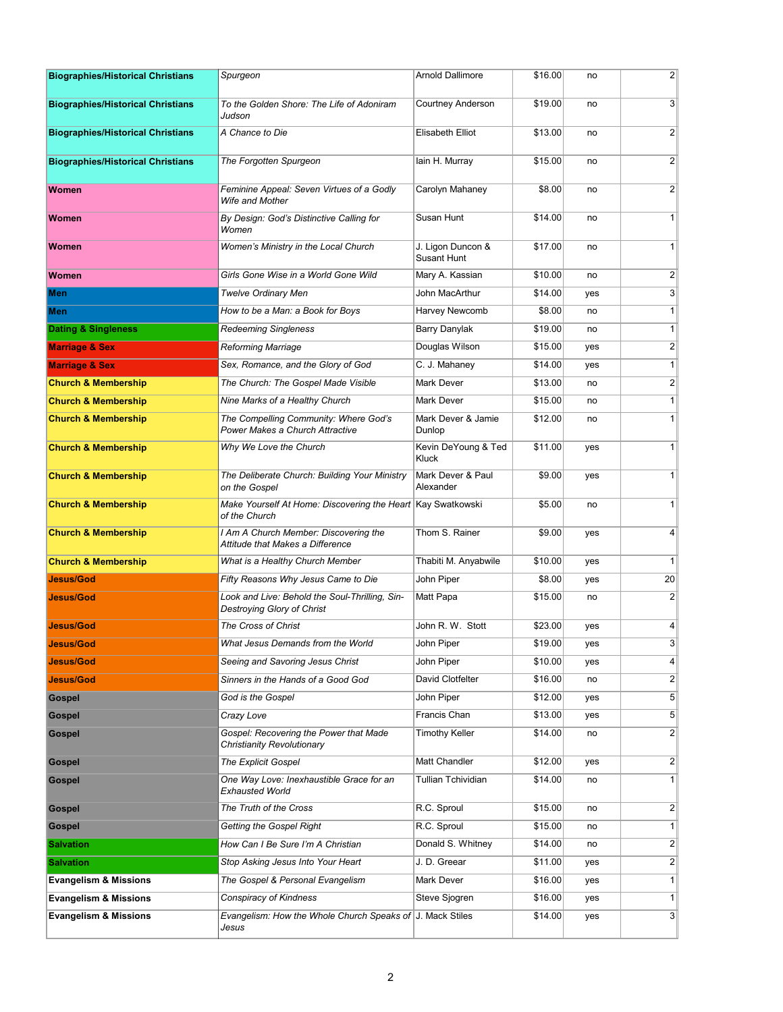| <b>Biographies/Historical Christians</b> | Spurgeon                                                                     | <b>Arnold Dallimore</b>                 | \$16.00 | no  | $\mathbf{2}$    |
|------------------------------------------|------------------------------------------------------------------------------|-----------------------------------------|---------|-----|-----------------|
| <b>Biographies/Historical Christians</b> | To the Golden Shore: The Life of Adoniram<br>Judson                          | <b>Courtney Anderson</b>                | \$19.00 | no  | $\overline{3}$  |
| <b>Biographies/Historical Christians</b> | A Chance to Die                                                              | Elisabeth Elliot                        | \$13.00 | no  | 2               |
| <b>Biographies/Historical Christians</b> | The Forgotten Spurgeon                                                       | lain H. Murray                          | \$15.00 | no  | $\overline{2}$  |
| <b>Women</b>                             | Feminine Appeal: Seven Virtues of a Godly<br>Wife and Mother                 | Carolyn Mahaney                         | \$8.00  | no  | 2               |
| <b>Women</b>                             | By Design: God's Distinctive Calling for<br>Women                            | Susan Hunt                              | \$14.00 | no  | 1 <sup>1</sup>  |
| Women                                    | Women's Ministry in the Local Church                                         | J. Ligon Duncon &<br><b>Susant Hunt</b> | \$17.00 | no  | 1 <sup>1</sup>  |
| <b>Women</b>                             | Girls Gone Wise in a World Gone Wild                                         | Mary A. Kassian                         | \$10.00 | no  | $\mathbf{2}$    |
| Men                                      | Twelve Ordinary Men                                                          | John MacArthur                          | \$14.00 | yes | $\mathbf{3}$    |
| Men                                      | How to be a Man: a Book for Boys                                             | Harvey Newcomb                          | \$8.00  | no  | 1               |
| <b>Dating &amp; Singleness</b>           | <b>Redeeming Singleness</b>                                                  | Barry Danylak                           | \$19.00 | no  | 1               |
| <b>Marriage &amp; Sex</b>                | Reforming Marriage                                                           | Douglas Wilson                          | \$15.00 | yes | $\mathbf{2}$    |
| <b>Marriage &amp; Sex</b>                | Sex, Romance, and the Glory of God                                           | C. J. Mahaney                           | \$14.00 | yes | 1               |
| <b>Church &amp; Membership</b>           | The Church: The Gospel Made Visible                                          | Mark Dever                              | \$13.00 | no  | 2 <sup>2</sup>  |
| <b>Church &amp; Membership</b>           | Nine Marks of a Healthy Church                                               | <b>Mark Dever</b>                       | \$15.00 | no  | 1               |
| <b>Church &amp; Membership</b>           | The Compelling Community: Where God's<br>Power Makes a Church Attractive     | Mark Dever & Jamie<br>Dunlop            | \$12.00 | no  | 1               |
| <b>Church &amp; Membership</b>           | Why We Love the Church                                                       | Kevin DeYoung & Ted<br>Kluck            | \$11.00 | yes | 1               |
| <b>Church &amp; Membership</b>           | The Deliberate Church: Building Your Ministry<br>on the Gospel               | Mark Dever & Paul<br>Alexander          | \$9.00  | yes | 1               |
| <b>Church &amp; Membership</b>           | Make Yourself At Home: Discovering the Heart Kay Swatkowski<br>of the Church |                                         | \$5.00  | no  | 1               |
| <b>Church &amp; Membership</b>           | I Am A Church Member: Discovering the<br>Attitude that Makes a Difference    | Thom S. Rainer                          | \$9.00  | yes | $\vert 4 \vert$ |
| <b>Church &amp; Membership</b>           | What is a Healthy Church Member                                              | Thabiti M. Anyabwile                    | \$10.00 | yes | 1 <sup>1</sup>  |
| <b>Jesus/God</b>                         | Fifty Reasons Why Jesus Came to Die                                          | John Piper                              | \$8.00  | yes | 20              |
| <b>Jesus/God</b>                         | Look and Live: Behold the Soul-Thrilling, Sin-<br>Destroying Glory of Christ | Matt Papa                               | \$15.00 | no  | 2 <sup>2</sup>  |
| <b>Jesus/God</b>                         | The Cross of Christ                                                          | John R. W. Stott                        | \$23.00 | yes | 4               |
| <b>Jesus/God</b>                         | What Jesus Demands from the World                                            | John Piper                              | \$19.00 | yes | 3 <sup>2</sup>  |
| Jesus/God                                | Seeing and Savoring Jesus Christ                                             | John Piper                              | \$10.00 | yes | 4               |
| <b>Jesus/God</b>                         | Sinners in the Hands of a Good God                                           | David Clotfelter                        | \$16.00 | no  | 2               |
| <b>Gospel</b>                            | God is the Gospel                                                            | John Piper                              | \$12.00 | yes | 5 <sup>2</sup>  |
| <b>Gospel</b>                            | Crazy Love                                                                   | Francis Chan                            | \$13.00 | yes | 5 <sup>2</sup>  |
| <b>Gospel</b>                            | Gospel: Recovering the Power that Made<br>Christianity Revolutionary         | <b>Timothy Keller</b>                   | \$14.00 | no  | $\overline{2}$  |
| <b>Gospel</b>                            | <b>The Explicit Gospel</b>                                                   | Matt Chandler                           | \$12.00 | yes | $\overline{2}$  |
| <b>Gospel</b>                            | One Way Love: Inexhaustible Grace for an<br>Exhausted World                  | Tullian Tchividian                      | \$14.00 | no  | 1               |
| <b>Gospel</b>                            | The Truth of the Cross                                                       | R.C. Sproul                             | \$15.00 | no  | $\overline{2}$  |
| <b>Gospel</b>                            | Getting the Gospel Right                                                     | R.C. Sproul                             | \$15.00 | no  | 1               |
| <b>Salvation</b>                         | How Can I Be Sure I'm A Christian                                            | Donald S. Whitney                       | \$14.00 | no  | 2               |
| <b>Salvation</b>                         | Stop Asking Jesus Into Your Heart                                            | J. D. Greear                            | \$11.00 | yes | 2               |
| <b>Evangelism &amp; Missions</b>         | The Gospel & Personal Evangelism                                             | Mark Dever                              | \$16.00 | yes | 1               |
| <b>Evangelism &amp; Missions</b>         | Conspiracy of Kindness                                                       | Steve Sjogren                           | \$16.00 | yes | 1               |
| <b>Evangelism &amp; Missions</b>         | Evangelism: How the Whole Church Speaks of J. Mack Stiles<br>Jesus           |                                         | \$14.00 | yes | 3 <sup>2</sup>  |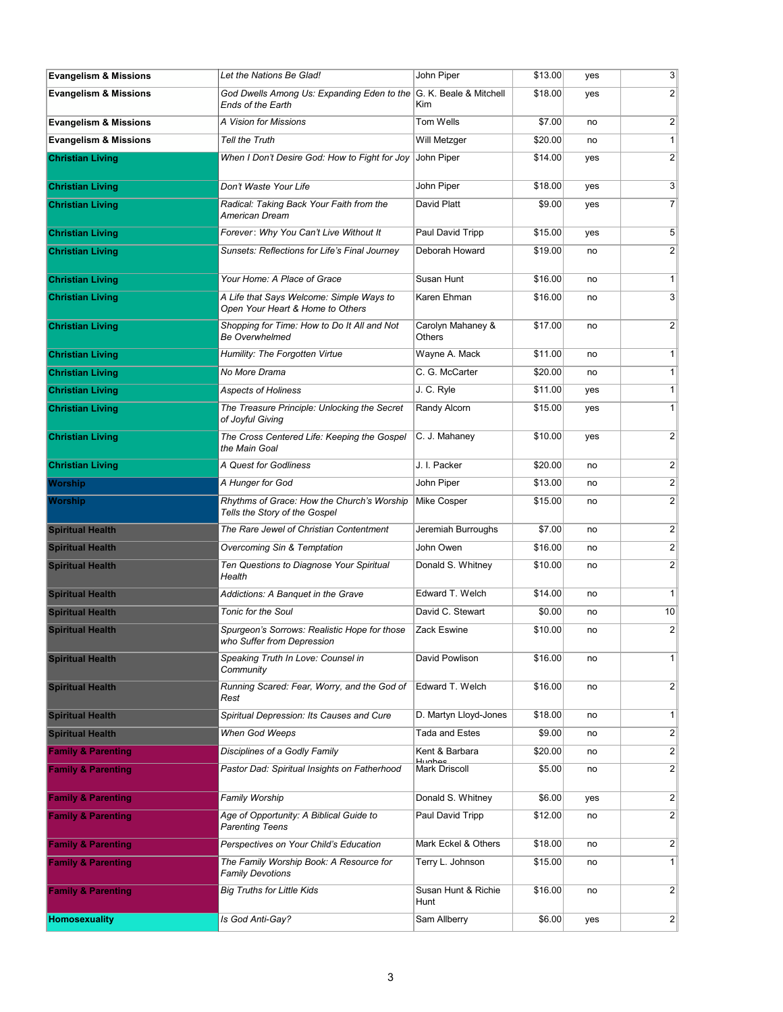| <b>Evangelism &amp; Missions</b> | Let the Nations Be Glad!                                                                      | John Piper                      | \$13.00 | yes | 3 <sup>2</sup>   |
|----------------------------------|-----------------------------------------------------------------------------------------------|---------------------------------|---------|-----|------------------|
| <b>Evangelism &amp; Missions</b> | God Dwells Among Us: Expanding Eden to the G. K. Beale & Mitchell<br><b>Ends of the Earth</b> | Kim                             | \$18.00 | yes | $\overline{2}$   |
| <b>Evangelism &amp; Missions</b> | A Vision for Missions                                                                         | Tom Wells                       | \$7.00  | no  | $\mathbf{2}$     |
| <b>Evangelism &amp; Missions</b> | <b>Tell the Truth</b>                                                                         | Will Metzger                    | \$20.00 | no  | 1                |
| <b>Christian Living</b>          | When I Don't Desire God: How to Fight for Joy                                                 | John Piper                      | \$14.00 | yes | $\overline{2}$   |
| <b>Christian Living</b>          | Don't Waste Your Life                                                                         | John Piper                      | \$18.00 | yes | $\mathbf{3}$     |
| <b>Christian Living</b>          | Radical: Taking Back Your Faith from the<br>American Dream                                    | David Platt                     | \$9.00  | yes | 7 <sup>1</sup>   |
| <b>Christian Living</b>          | Forever: Why You Can't Live Without It                                                        | Paul David Tripp                | \$15.00 | yes | 5 <sup>5</sup>   |
| <b>Christian Living</b>          | Sunsets: Reflections for Life's Final Journey                                                 | Deborah Howard                  | \$19.00 | no  | $\overline{2}$   |
| <b>Christian Living</b>          | Your Home: A Place of Grace                                                                   | Susan Hunt                      | \$16.00 | no  | 1                |
| <b>Christian Living</b>          | A Life that Says Welcome: Simple Ways to<br>Open Your Heart & Home to Others                  | Karen Ehman                     | \$16.00 | no  | $\overline{3}$   |
| <b>Christian Living</b>          | Shopping for Time: How to Do It All and Not<br><b>Be Overwhelmed</b>                          | Carolyn Mahaney &<br>Others     | \$17.00 | no  | 2 <sup>2</sup>   |
| <b>Christian Living</b>          | Humility: The Forgotten Virtue                                                                | Wayne A. Mack                   | \$11.00 | no  | 1                |
| <b>Christian Living</b>          | No More Drama                                                                                 | C. G. McCarter                  | \$20.00 | no  | 1                |
| <b>Christian Living</b>          | <b>Aspects of Holiness</b>                                                                    | J. C. Ryle                      | \$11.00 | yes | 1                |
| <b>Christian Living</b>          | The Treasure Principle: Unlocking the Secret<br>of Joyful Giving                              | Randy Alcorn                    | \$15.00 | yes | 1                |
| <b>Christian Living</b>          | The Cross Centered Life: Keeping the Gospel<br>the Main Goal                                  | C. J. Mahaney                   | \$10.00 | yes | $\overline{2}$   |
| <b>Christian Living</b>          | A Quest for Godliness                                                                         | J. I. Packer                    | \$20.00 | no  | $\mathbf{2}$     |
| Worship                          | A Hunger for God                                                                              | John Piper                      | \$13.00 | no  | 2 <sup>2</sup>   |
| Worship                          | Rhythms of Grace: How the Church's Worship<br>Tells the Story of the Gospel                   | Mike Cosper                     | \$15.00 | no  | $\overline{2}$   |
| <b>Spiritual Health</b>          | The Rare Jewel of Christian Contentment                                                       | Jeremiah Burroughs              | \$7.00  | no  | $\overline{2}$   |
| <b>Spiritual Health</b>          | Overcoming Sin & Temptation                                                                   | John Owen                       | \$16.00 | no  | $\overline{2}$   |
| <b>Spiritual Health</b>          | Ten Questions to Diagnose Your Spiritual<br>Health                                            | Donald S. Whitney               | \$10.00 | no  | $\overline{2}$   |
| <b>Spiritual Health</b>          | Addictions: A Banquet in the Grave                                                            | Edward T. Welch                 | \$14.00 | no  | 1                |
| <b>Spiritual Health</b>          | <b>Tonic for the Soul</b>                                                                     | David C. Stewart                | \$0.00  | no  | 10               |
| <b>Spiritual Health</b>          | Spurgeon's Sorrows: Realistic Hope for those<br>who Suffer from Depression                    | Zack Eswine                     | \$10.00 | no  | $\overline{2}$   |
| <b>Spiritual Health</b>          | Speaking Truth In Love: Counsel in<br>Community                                               | David Powlison                  | \$16.00 | no  | 1                |
| <b>Spiritual Health</b>          | Running Scared: Fear, Worry, and the God of<br>Rest                                           | Edward T. Welch                 | \$16.00 | no  | $\mathbf{2}$     |
| <b>Spiritual Health</b>          | Spiritual Depression: Its Causes and Cure                                                     | D. Martyn Lloyd-Jones           | \$18.00 | no  | 1 <sup>1</sup>   |
| <b>Spiritual Health</b>          | When God Weeps                                                                                | Tada and Estes                  | \$9.00  | no  | $\mathbf{2}$     |
| <b>Family &amp; Parenting</b>    | Disciplines of a Godly Family                                                                 | Kent & Barbara<br><b>Hughos</b> | \$20.00 | no  | $\left  \right $ |
| <b>Family &amp; Parenting</b>    | Pastor Dad: Spiritual Insights on Fatherhood                                                  | <b>Mark Driscoll</b>            | \$5.00  | no  | $\mathbf{2}$     |
| <b>Family &amp; Parenting</b>    | Family Worship                                                                                | Donald S. Whitney               | \$6.00  | yes | $\overline{2}$   |
| <b>Family &amp; Parenting</b>    | Age of Opportunity: A Biblical Guide to<br><b>Parenting Teens</b>                             | Paul David Tripp                | \$12.00 | no  | $\overline{2}$   |
| <b>Family &amp; Parenting</b>    | Perspectives on Your Child's Education                                                        | Mark Eckel & Others             | \$18.00 | no  | $\mathbf{2}$     |
| <b>Family &amp; Parenting</b>    | The Family Worship Book: A Resource for<br><b>Family Devotions</b>                            | Terry L. Johnson                | \$15.00 | no  | 1 <sup>1</sup>   |
| <b>Family &amp; Parenting</b>    | <b>Big Truths for Little Kids</b>                                                             | Susan Hunt & Richie<br>Hunt     | \$16.00 | no  | $\mathbf{2}$     |
| <b>Homosexuality</b>             | Is God Anti-Gay?                                                                              | Sam Allberry                    | \$6.00  | yes | 2                |